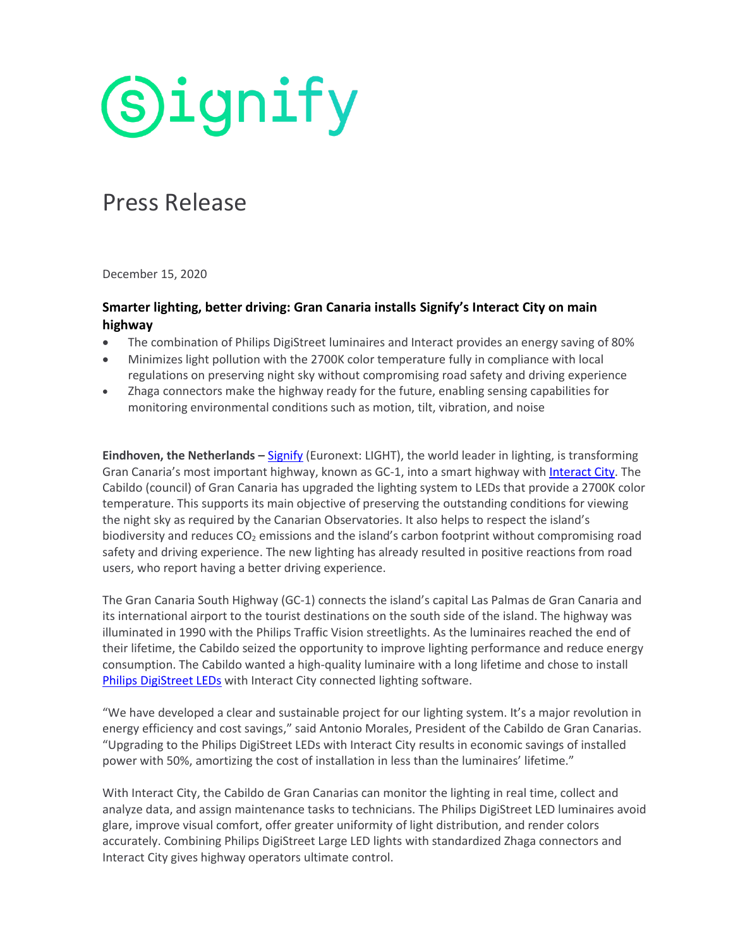**Signify** 

## Press Release

December 15, 2020

## **Smarter lighting, better driving: Gran Canaria installs Signify's Interact City on main highway**

- The combination of Philips DigiStreet luminaires and Interact provides an energy saving of 80%
- Minimizes light pollution with the 2700K color temperature fully in compliance with local regulations on preserving night sky without compromising road safety and driving experience
- Zhaga connectors make the highway ready for the future, enabling sensing capabilities for monitoring environmental conditions such as motion, tilt, vibration, and noise

**Eindhoven, the Netherlands –** [Signify](https://www.signify.com/) (Euronext: LIGHT), the world leader in lighting, is transforming Gran Canaria's most important highway, known as GC-1, into a smart highway with [Interact City.](https://www.interact-lighting.com/global/what-is-possible/interact-city) The Cabildo (council) of Gran Canaria has upgraded the lighting system to LEDs that provide a 2700K color temperature. This supports its main objective of preserving the outstanding conditions for viewing the night sky as required by the Canarian Observatories. It also helps to respect the island's biodiversity and reduces  $CO<sub>2</sub>$  emissions and the island's carbon footprint without compromising road safety and driving experience. The new lighting has already resulted in positive reactions from road users, who report having a better driving experience.

The Gran Canaria South Highway (GC-1) connects the island's capital Las Palmas de Gran Canaria and its international airport to the tourist destinations on the south side of the island. The highway was illuminated in 1990 with the Philips Traffic Vision streetlights. As the luminaires reached the end of their lifetime, the Cabildo seized the opportunity to improve lighting performance and reduce energy consumption. The Cabildo wanted a high-quality luminaire with a long lifetime and chose to install [Philips DigiStreet LEDs](https://www.lighting.philips.com/main/prof/outdoor-luminaires/road-and-urban-lighting/road-and-urban-luminaires/digistreet/910925864083_EU/product) with Interact City connected lighting software.

"We have developed a clear and sustainable project for our lighting system. It's a major revolution in energy efficiency and cost savings," said Antonio Morales, President of the Cabildo de Gran Canarias. "Upgrading to the Philips DigiStreet LEDs with Interact City results in economic savings of installed power with 50%, amortizing the cost of installation in less than the luminaires' lifetime."

With Interact City, the Cabildo de Gran Canarias can monitor the lighting in real time, collect and analyze data, and assign maintenance tasks to technicians. The Philips DigiStreet LED luminaires avoid glare, improve visual comfort, offer greater uniformity of light distribution, and render colors accurately. Combining Philips DigiStreet Large LED lights with standardized Zhaga connectors and Interact City gives highway operators ultimate control.